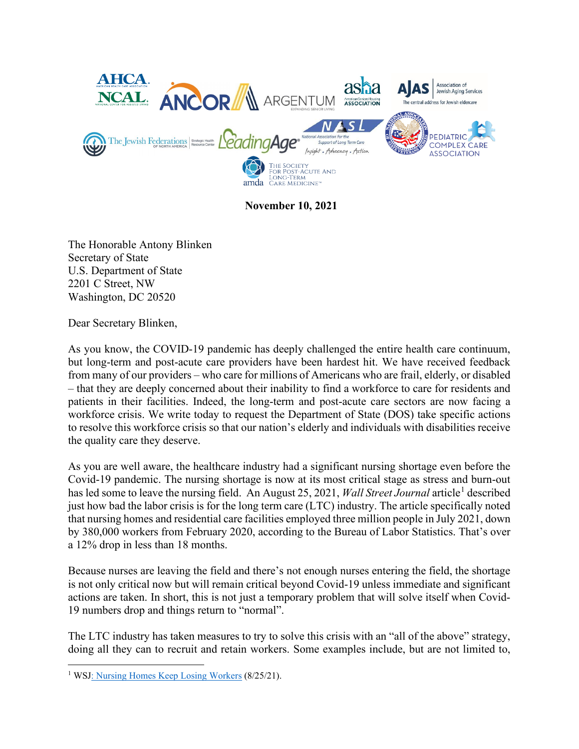

**November 10, 2021** 

The Honorable Antony Blinken Secretary of State U.S. Department of State 2201 C Street, NW Washington, DC 20520

Dear Secretary Blinken,

As you know, the COVID-19 pandemic has deeply challenged the entire health care continuum, but long-term and post-acute care providers have been hardest hit. We have received feedback from many of our providers – who care for millions of Americans who are frail, elderly, or disabled – that they are deeply concerned about their inability to find a workforce to care for residents and patients in their facilities. Indeed, the long-term and post-acute care sectors are now facing a workforce crisis. We write today to request the Department of State (DOS) take specific actions to resolve this workforce crisis so that our nation's elderly and individuals with disabilities receive the quality care they deserve.

As you are well aware, the healthcare industry had a significant nursing shortage even before the Covid-19 pandemic. The nursing shortage is now at its most critical stage as stress and burn-out has led some to leave the nursing field. An August 25, 202[1](#page-0-0), *Wall Street Journal* article<sup>1</sup> described just how bad the labor crisis is for the long term care (LTC) industry. The article specifically noted that nursing homes and residential care facilities employed three million people in July 2021, down by 380,000 workers from February 2020, according to the Bureau of Labor Statistics. That's over a 12% drop in less than 18 months.

Because nurses are leaving the field and there's not enough nurses entering the field, the shortage is not only critical now but will remain critical beyond Covid-19 unless immediate and significant actions are taken. In short, this is not just a temporary problem that will solve itself when Covid-19 numbers drop and things return to "normal".

The LTC industry has taken measures to try to solve this crisis with an "all of the above" strategy, doing all they can to recruit and retain workers. Some examples include, but are not limited to,

<span id="page-0-0"></span><sup>&</sup>lt;sup>1</sup> WS[J: Nursing Homes Keep Losing Workers](https://www.wsj.com/articles/nursing-homes-keep-losing-workers-11629898200) (8/25/21).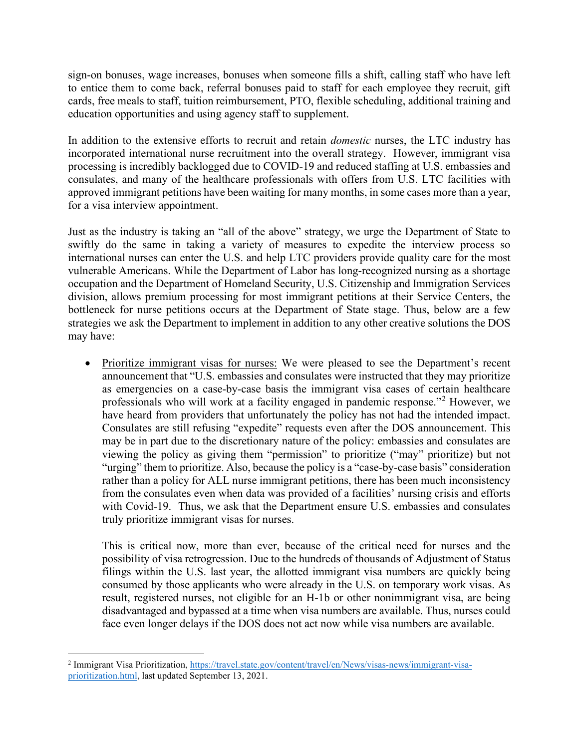sign-on bonuses, wage increases, bonuses when someone fills a shift, calling staff who have left to entice them to come back, referral bonuses paid to staff for each employee they recruit, gift cards, free meals to staff, tuition reimbursement, PTO, flexible scheduling, additional training and education opportunities and using agency staff to supplement.

In addition to the extensive efforts to recruit and retain *domestic* nurses, the LTC industry has incorporated international nurse recruitment into the overall strategy. However, immigrant visa processing is incredibly backlogged due to COVID-19 and reduced staffing at U.S. embassies and consulates, and many of the healthcare professionals with offers from U.S. LTC facilities with approved immigrant petitions have been waiting for many months, in some cases more than a year, for a visa interview appointment.

Just as the industry is taking an "all of the above" strategy, we urge the Department of State to swiftly do the same in taking a variety of measures to expedite the interview process so international nurses can enter the U.S. and help LTC providers provide quality care for the most vulnerable Americans. While the Department of Labor has long-recognized nursing as a shortage occupation and the Department of Homeland Security, U.S. Citizenship and Immigration Services division, allows premium processing for most immigrant petitions at their Service Centers, the bottleneck for nurse petitions occurs at the Department of State stage. Thus, below are a few strategies we ask the Department to implement in addition to any other creative solutions the DOS may have:

• Prioritize immigrant visas for nurses: We were pleased to see the Department's recent announcement that "U.S. embassies and consulates were instructed that they may prioritize as emergencies on a case-by-case basis the immigrant visa cases of certain healthcare professionals who will work at a facility engaged in pandemic response."[2](#page-1-0) However, we have heard from providers that unfortunately the policy has not had the intended impact. Consulates are still refusing "expedite" requests even after the DOS announcement. This may be in part due to the discretionary nature of the policy: embassies and consulates are viewing the policy as giving them "permission" to prioritize ("may" prioritize) but not "urging" them to prioritize. Also, because the policy is a "case-by-case basis" consideration rather than a policy for ALL nurse immigrant petitions, there has been much inconsistency from the consulates even when data was provided of a facilities' nursing crisis and efforts with Covid-19. Thus, we ask that the Department ensure U.S. embassies and consulates truly prioritize immigrant visas for nurses.

This is critical now, more than ever, because of the critical need for nurses and the possibility of visa retrogression. Due to the hundreds of thousands of Adjustment of Status filings within the U.S. last year, the allotted immigrant visa numbers are quickly being consumed by those applicants who were already in the U.S. on temporary work visas. As result, registered nurses, not eligible for an H-1b or other nonimmigrant visa, are being disadvantaged and bypassed at a time when visa numbers are available. Thus, nurses could face even longer delays if the DOS does not act now while visa numbers are available.

<span id="page-1-0"></span><sup>&</sup>lt;sup>2</sup> Immigrant Visa Prioritization, [https://travel.state.gov/content/travel/en/News/visas-news/immigrant-visa](https://travel.state.gov/content/travel/en/News/visas-news/immigrant-visa-prioritization.html)[prioritization.html,](https://travel.state.gov/content/travel/en/News/visas-news/immigrant-visa-prioritization.html) last updated September 13, 2021.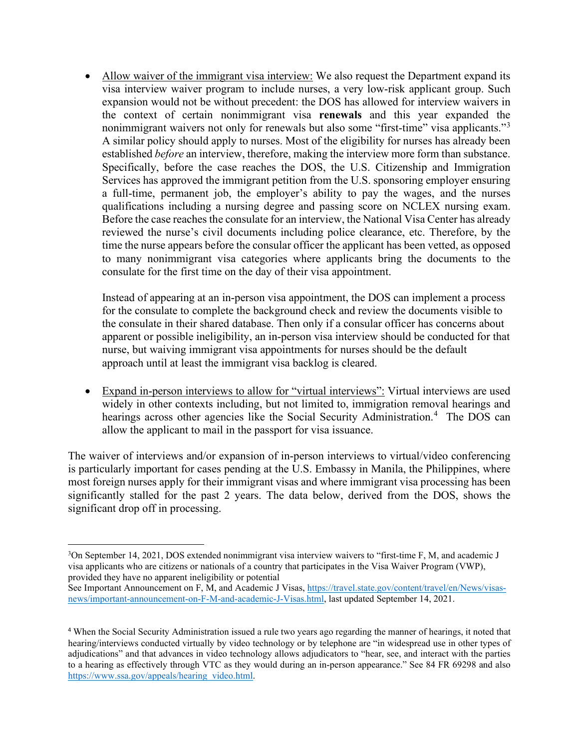• Allow waiver of the immigrant visa interview: We also request the Department expand its visa interview waiver program to include nurses, a very low-risk applicant group. Such expansion would not be without precedent: the DOS has allowed for interview waivers in the context of certain nonimmigrant visa **renewals** and this year expanded the nonimmigrant waivers not only for renewals but also some "first-time" visa applicants."<sup>[3](#page-2-0)</sup> A similar policy should apply to nurses. Most of the eligibility for nurses has already been established *before* an interview, therefore, making the interview more form than substance. Specifically, before the case reaches the DOS, the U.S. Citizenship and Immigration Services has approved the immigrant petition from the U.S. sponsoring employer ensuring a full-time, permanent job, the employer's ability to pay the wages, and the nurses qualifications including a nursing degree and passing score on NCLEX nursing exam. Before the case reaches the consulate for an interview, the National Visa Center has already reviewed the nurse's civil documents including police clearance, etc. Therefore, by the time the nurse appears before the consular officer the applicant has been vetted, as opposed to many nonimmigrant visa categories where applicants bring the documents to the consulate for the first time on the day of their visa appointment.

Instead of appearing at an in-person visa appointment, the DOS can implement a process for the consulate to complete the background check and review the documents visible to the consulate in their shared database. Then only if a consular officer has concerns about apparent or possible ineligibility, an in-person visa interview should be conducted for that nurse, but waiving immigrant visa appointments for nurses should be the default approach until at least the immigrant visa backlog is cleared.

• Expand in-person interviews to allow for "virtual interviews": Virtual interviews are used widely in other contexts including, but not limited to, immigration removal hearings and hearings across other agencies like the Social Security Administration.<sup>[4](#page-2-1)</sup> The DOS can allow the applicant to mail in the passport for visa issuance.

The waiver of interviews and/or expansion of in-person interviews to virtual/video conferencing is particularly important for cases pending at the U.S. Embassy in Manila, the Philippines, where most foreign nurses apply for their immigrant visas and where immigrant visa processing has been significantly stalled for the past 2 years. The data below, derived from the DOS, shows the significant drop off in processing.

<span id="page-2-0"></span><sup>&</sup>lt;sup>3</sup>On September 14, 2021, DOS extended nonimmigrant visa interview waivers to "first-time F, M, and academic J visa applicants who are citizens or nationals of a country that participates in the Visa Waiver Program (VWP), provided they have no apparent ineligibility or potential

See Important Announcement on F, M, and Academic J Visas, [https://travel.state.gov/content/travel/en/News/visas](https://travel.state.gov/content/travel/en/News/visas-news/important-announcement-on-F-M-and-academic-J-Visas.html)[news/important-announcement-on-F-M-and-academic-J-Visas.html,](https://travel.state.gov/content/travel/en/News/visas-news/important-announcement-on-F-M-and-academic-J-Visas.html) last updated September 14, 2021.

<span id="page-2-1"></span><sup>4</sup> When the Social Security Administration issued a rule two years ago regarding the manner of hearings, it noted that hearing/interviews conducted virtually by video technology or by telephone are "in widespread use in other types of adjudications" and that advances in video technology allows adjudicators to "hear, see, and interact with the parties to a hearing as effectively through VTC as they would during an in-person appearance." See 84 FR 69298 and also [https://www.ssa.gov/appeals/hearing\\_video.html.](https://www.ssa.gov/appeals/hearing_video.html)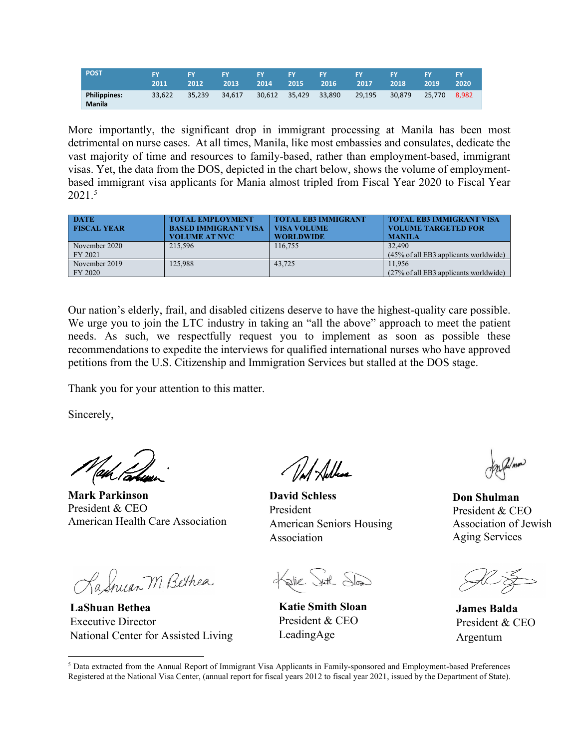| <b>POST</b>                   | <b>IEV</b><br>2011 | EV<br>2012 | <b>LEY</b><br>2013 | <b>FY</b><br>2014 | <b>EXECUTE</b><br>2015 | TY.<br>2016 | <b>FY</b><br>2017 | FΥ<br>2018 | 2019   | 2020  |
|-------------------------------|--------------------|------------|--------------------|-------------------|------------------------|-------------|-------------------|------------|--------|-------|
| <b>Philippines:</b><br>Manila | 33.622             | 35.239     | 34.617             | 30.612            | 35.429                 | 33.890      | 29.195            | 30.879     | 25.770 | 8.982 |

More importantly, the significant drop in immigrant processing at Manila has been most detrimental on nurse cases. At all times, Manila, like most embassies and consulates, dedicate the vast majority of time and resources to family-based, rather than employment-based, immigrant visas. Yet, the data from the DOS, depicted in the chart below, shows the volume of employmentbased immigrant visa applicants for Mania almost tripled from Fiscal Year 2020 to Fiscal Year 2021[.5](#page-3-0)

| <b>DATE</b><br><b>FISCAL YEAR</b> | <b>TOTAL EMPLOYMENT</b><br><b>BASED IMMIGRANT VISA</b><br><b>VOLUME AT NVC</b> | <b>TOTAL EB3 IMMIGRANT</b><br><b>VISA VOLUME</b><br><b>WORLDWIDE</b> | <b>TOTAL EB3 IMMIGRANT VISA</b><br><b>VOLUME TARGETED FOR</b><br><b>MANILA</b> |
|-----------------------------------|--------------------------------------------------------------------------------|----------------------------------------------------------------------|--------------------------------------------------------------------------------|
| November 2020                     | 215.596                                                                        | 116,755                                                              | 32,490                                                                         |
| FY 2021                           |                                                                                |                                                                      | $(45\% \text{ of all EB3 applications)$ applicants worldwide)                  |
| November 2019                     | 125,988                                                                        | 43.725                                                               | 11.956                                                                         |
| FY 2020                           |                                                                                |                                                                      | (27% of all EB3 applicants worldwide)                                          |

Our nation's elderly, frail, and disabled citizens deserve to have the highest-quality care possible. We urge you to join the LTC industry in taking an "all the above" approach to meet the patient needs. As such, we respectfully request you to implement as soon as possible these recommendations to expedite the interviews for qualified international nurses who have approved petitions from the U.S. Citizenship and Immigration Services but stalled at the DOS stage.

Thank you for your attention to this matter.

Sincerely,

**Mark Parkinson** President & CEO American Health Care Association

KaSnuar M. Bethea

**LaShuan Bethea** Executive Director National Center for Assisted Living

// / Adless

**David Schless**  President American Seniors Housing Association

Katie Suth Slow

**Katie Smith Sloan** President & CEO LeadingAge

Umon

**Don Shulman**  President & CEO Association of Jewish Aging Services

**James Balda** President & CEO Argentum

<span id="page-3-0"></span><sup>5</sup> Data extracted from the Annual Report of Immigrant Visa Applicants in Family-sponsored and Employment-based Preferences Registered at the National Visa Center, (annual report for fiscal years 2012 to fiscal year 2021, issued by the Department of State).